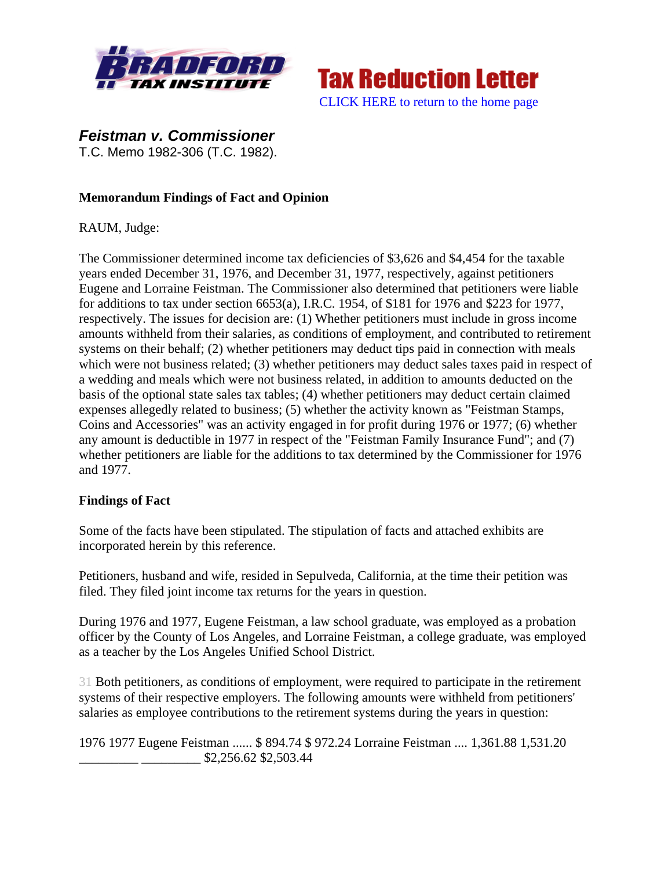



*Feistman v. Commissioner* 

T.C. Memo 1982-306 (T.C. 1982).

## **Memorandum Findings of Fact and Opinion**

RAUM, Judge:

The Commissioner determined income tax deficiencies of \$3,626 and \$4,454 for the taxable years ended December 31, 1976, and December 31, 1977, respectively, against petitioners Eugene and Lorraine Feistman. The Commissioner also determined that petitioners were liable for additions to tax under section 6653(a), I.R.C. 1954, of \$181 for 1976 and \$223 for 1977, respectively. The issues for decision are: (1) Whether petitioners must include in gross income amounts withheld from their salaries, as conditions of employment, and contributed to retirement systems on their behalf; (2) whether petitioners may deduct tips paid in connection with meals which were not business related; (3) whether petitioners may deduct sales taxes paid in respect of a wedding and meals which were not business related, in addition to amounts deducted on the basis of the optional state sales tax tables; (4) whether petitioners may deduct certain claimed expenses allegedly related to business; (5) whether the activity known as "Feistman Stamps, Coins and Accessories" was an activity engaged in for profit during 1976 or 1977; (6) whether any amount is deductible in 1977 in respect of the "Feistman Family Insurance Fund"; and (7) whether petitioners are liable for the additions to tax determined by the Commissioner for 1976 and 1977.

## **Findings of Fact**

Some of the facts have been stipulated. The stipulation of facts and attached exhibits are incorporated herein by this reference.

Petitioners, husband and wife, resided in Sepulveda, California, at the time their petition was filed. They filed joint income tax returns for the years in question.

During 1976 and 1977, Eugene Feistman, a law school graduate, was employed as a probation officer by the County of Los Angeles, and Lorraine Feistman, a college graduate, was employed as a teacher by the Los Angeles Unified School District.

31 Both petitioners, as conditions of employment, were required to participate in the retirement systems of their respective employers. The following amounts were withheld from petitioners' salaries as employee contributions to the retirement systems during the years in question:

1976 1977 Eugene Feistman ...... \$ 894.74 \$ 972.24 Lorraine Feistman .... 1,361.88 1,531.20 \_\_\_\_\_\_\_\_\_ \_\_\_\_\_\_\_\_\_ \$2,256.62 \$2,503.44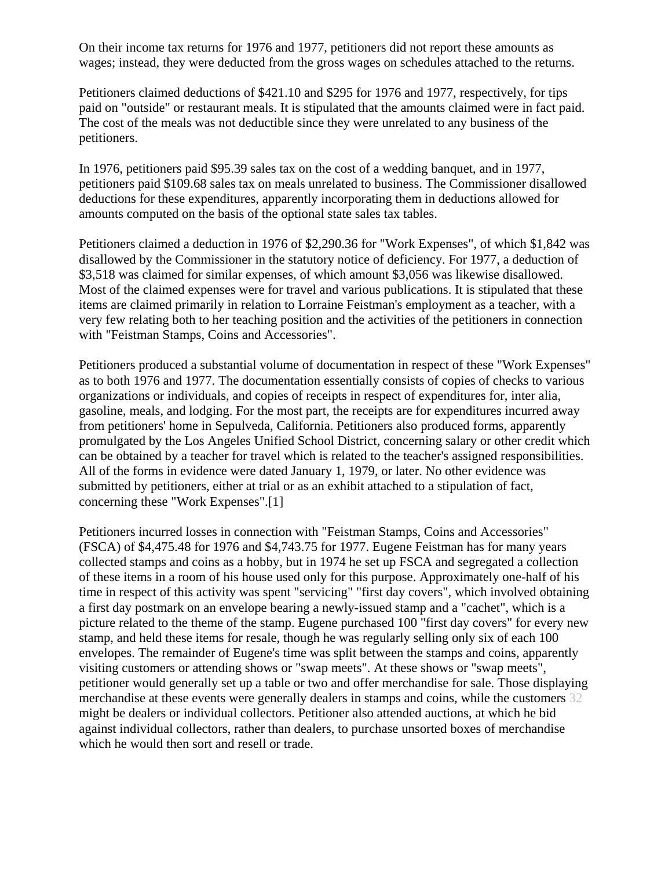On their income tax returns for 1976 and 1977, petitioners did not report these amounts as wages; instead, they were deducted from the gross wages on schedules attached to the returns.

Petitioners claimed deductions of \$421.10 and \$295 for 1976 and 1977, respectively, for tips paid on "outside" or restaurant meals. It is stipulated that the amounts claimed were in fact paid. The cost of the meals was not deductible since they were unrelated to any business of the petitioners.

In 1976, petitioners paid \$95.39 sales tax on the cost of a wedding banquet, and in 1977, petitioners paid \$109.68 sales tax on meals unrelated to business. The Commissioner disallowed deductions for these expenditures, apparently incorporating them in deductions allowed for amounts computed on the basis of the optional state sales tax tables.

Petitioners claimed a deduction in 1976 of \$2,290.36 for "Work Expenses", of which \$1,842 was disallowed by the Commissioner in the statutory notice of deficiency. For 1977, a deduction of \$3,518 was claimed for similar expenses, of which amount \$3,056 was likewise disallowed. Most of the claimed expenses were for travel and various publications. It is stipulated that these items are claimed primarily in relation to Lorraine Feistman's employment as a teacher, with a very few relating both to her teaching position and the activities of the petitioners in connection with "Feistman Stamps, Coins and Accessories".

Petitioners produced a substantial volume of documentation in respect of these "Work Expenses" as to both 1976 and 1977. The documentation essentially consists of copies of checks to various organizations or individuals, and copies of receipts in respect of expenditures for, inter alia, gasoline, meals, and lodging. For the most part, the receipts are for expenditures incurred away from petitioners' home in Sepulveda, California. Petitioners also produced forms, apparently promulgated by the Los Angeles Unified School District, concerning salary or other credit which can be obtained by a teacher for travel which is related to the teacher's assigned responsibilities. All of the forms in evidence were dated January 1, 1979, or later. No other evidence was submitted by petitioners, either at trial or as an exhibit attached to a stipulation of fact, concerning these "Work Expenses".[1]

Petitioners incurred losses in connection with "Feistman Stamps, Coins and Accessories" (FSCA) of \$4,475.48 for 1976 and \$4,743.75 for 1977. Eugene Feistman has for many years collected stamps and coins as a hobby, but in 1974 he set up FSCA and segregated a collection of these items in a room of his house used only for this purpose. Approximately one-half of his time in respect of this activity was spent "servicing" "first day covers", which involved obtaining a first day postmark on an envelope bearing a newly-issued stamp and a "cachet", which is a picture related to the theme of the stamp. Eugene purchased 100 "first day covers" for every new stamp, and held these items for resale, though he was regularly selling only six of each 100 envelopes. The remainder of Eugene's time was split between the stamps and coins, apparently visiting customers or attending shows or "swap meets". At these shows or "swap meets", petitioner would generally set up a table or two and offer merchandise for sale. Those displaying merchandise at these events were generally dealers in stamps and coins, while the customers 32 might be dealers or individual collectors. Petitioner also attended auctions, at which he bid against individual collectors, rather than dealers, to purchase unsorted boxes of merchandise which he would then sort and resell or trade.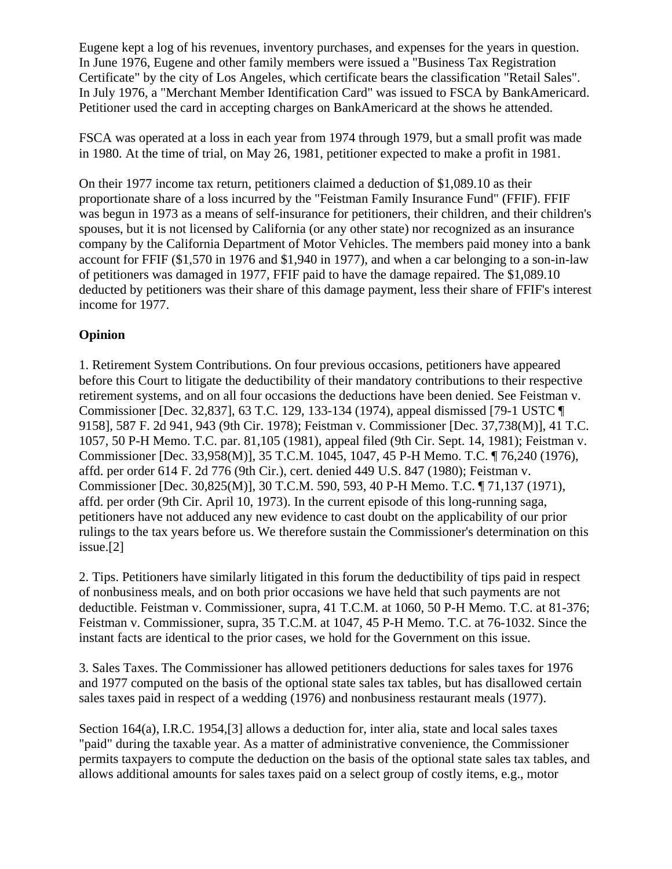Eugene kept a log of his revenues, inventory purchases, and expenses for the years in question. In June 1976, Eugene and other family members were issued a "Business Tax Registration Certificate" by the city of Los Angeles, which certificate bears the classification "Retail Sales". In July 1976, a "Merchant Member Identification Card" was issued to FSCA by BankAmericard. Petitioner used the card in accepting charges on BankAmericard at the shows he attended.

FSCA was operated at a loss in each year from 1974 through 1979, but a small profit was made in 1980. At the time of trial, on May 26, 1981, petitioner expected to make a profit in 1981.

On their 1977 income tax return, petitioners claimed a deduction of \$1,089.10 as their proportionate share of a loss incurred by the "Feistman Family Insurance Fund" (FFIF). FFIF was begun in 1973 as a means of self-insurance for petitioners, their children, and their children's spouses, but it is not licensed by California (or any other state) nor recognized as an insurance company by the California Department of Motor Vehicles. The members paid money into a bank account for FFIF (\$1,570 in 1976 and \$1,940 in 1977), and when a car belonging to a son-in-law of petitioners was damaged in 1977, FFIF paid to have the damage repaired. The \$1,089.10 deducted by petitioners was their share of this damage payment, less their share of FFIF's interest income for 1977.

## **Opinion**

1. Retirement System Contributions. On four previous occasions, petitioners have appeared before this Court to litigate the deductibility of their mandatory contributions to their respective retirement systems, and on all four occasions the deductions have been denied. See Feistman v. Commissioner [Dec. 32,837], 63 T.C. 129, 133-134 (1974), appeal dismissed [79-1 USTC ¶ 9158], 587 F. 2d 941, 943 (9th Cir. 1978); Feistman v. Commissioner [Dec. 37,738(M)], 41 T.C. 1057, 50 P-H Memo. T.C. par. 81,105 (1981), appeal filed (9th Cir. Sept. 14, 1981); Feistman v. Commissioner [Dec. 33,958(M)], 35 T.C.M. 1045, 1047, 45 P-H Memo. T.C. ¶ 76,240 (1976), affd. per order 614 F. 2d 776 (9th Cir.), cert. denied 449 U.S. 847 (1980); Feistman v. Commissioner [Dec. 30,825(M)], 30 T.C.M. 590, 593, 40 P-H Memo. T.C. ¶ 71,137 (1971), affd. per order (9th Cir. April 10, 1973). In the current episode of this long-running saga, petitioners have not adduced any new evidence to cast doubt on the applicability of our prior rulings to the tax years before us. We therefore sustain the Commissioner's determination on this issue.[2]

2. Tips. Petitioners have similarly litigated in this forum the deductibility of tips paid in respect of nonbusiness meals, and on both prior occasions we have held that such payments are not deductible. Feistman v. Commissioner, supra, 41 T.C.M. at 1060, 50 P-H Memo. T.C. at 81-376; Feistman v. Commissioner, supra, 35 T.C.M. at 1047, 45 P-H Memo. T.C. at 76-1032. Since the instant facts are identical to the prior cases, we hold for the Government on this issue.

3. Sales Taxes. The Commissioner has allowed petitioners deductions for sales taxes for 1976 and 1977 computed on the basis of the optional state sales tax tables, but has disallowed certain sales taxes paid in respect of a wedding (1976) and nonbusiness restaurant meals (1977).

Section 164(a), I.R.C. 1954,[3] allows a deduction for, inter alia, state and local sales taxes "paid" during the taxable year. As a matter of administrative convenience, the Commissioner permits taxpayers to compute the deduction on the basis of the optional state sales tax tables, and allows additional amounts for sales taxes paid on a select group of costly items, e.g., motor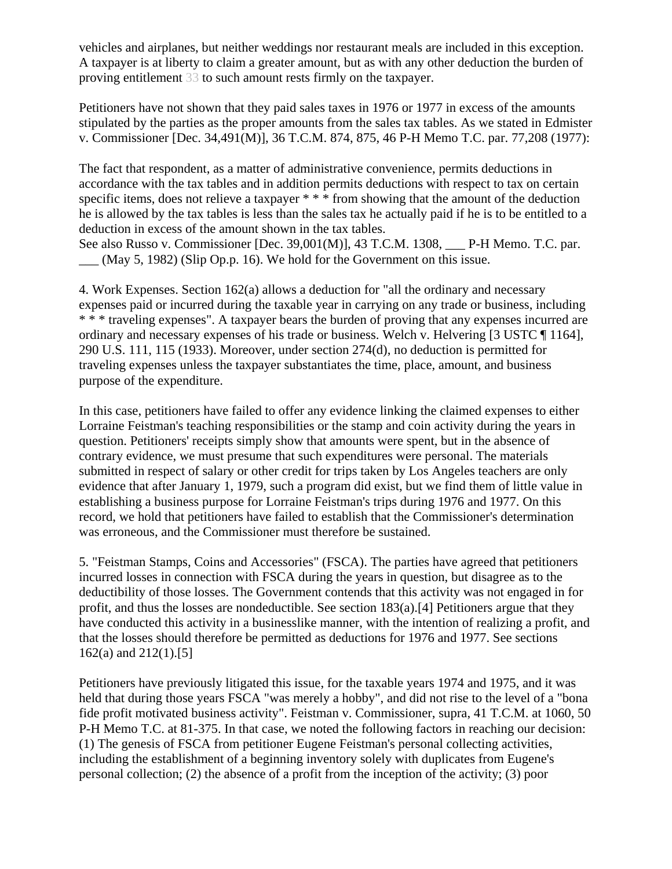vehicles and airplanes, but neither weddings nor restaurant meals are included in this exception. A taxpayer is at liberty to claim a greater amount, but as with any other deduction the burden of proving entitlement 33 to such amount rests firmly on the taxpayer.

Petitioners have not shown that they paid sales taxes in 1976 or 1977 in excess of the amounts stipulated by the parties as the proper amounts from the sales tax tables. As we stated in Edmister v. Commissioner [Dec. 34,491(M)], 36 T.C.M. 874, 875, 46 P-H Memo T.C. par. 77,208 (1977):

The fact that respondent, as a matter of administrative convenience, permits deductions in accordance with the tax tables and in addition permits deductions with respect to tax on certain specific items, does not relieve a taxpayer \* \* \* from showing that the amount of the deduction he is allowed by the tax tables is less than the sales tax he actually paid if he is to be entitled to a deduction in excess of the amount shown in the tax tables.

See also Russo v. Commissioner [Dec. 39,001(M)], 43 T.C.M. 1308, P-H Memo. T.C. par.  $\mu$  (May 5, 1982) (Slip Op.p. 16). We hold for the Government on this issue.

4. Work Expenses. Section 162(a) allows a deduction for "all the ordinary and necessary expenses paid or incurred during the taxable year in carrying on any trade or business, including \* \* \* traveling expenses". A taxpayer bears the burden of proving that any expenses incurred are ordinary and necessary expenses of his trade or business. Welch v. Helvering [3 USTC ¶ 1164], 290 U.S. 111, 115 (1933). Moreover, under section 274(d), no deduction is permitted for traveling expenses unless the taxpayer substantiates the time, place, amount, and business purpose of the expenditure.

In this case, petitioners have failed to offer any evidence linking the claimed expenses to either Lorraine Feistman's teaching responsibilities or the stamp and coin activity during the years in question. Petitioners' receipts simply show that amounts were spent, but in the absence of contrary evidence, we must presume that such expenditures were personal. The materials submitted in respect of salary or other credit for trips taken by Los Angeles teachers are only evidence that after January 1, 1979, such a program did exist, but we find them of little value in establishing a business purpose for Lorraine Feistman's trips during 1976 and 1977. On this record, we hold that petitioners have failed to establish that the Commissioner's determination was erroneous, and the Commissioner must therefore be sustained.

5. "Feistman Stamps, Coins and Accessories" (FSCA). The parties have agreed that petitioners incurred losses in connection with FSCA during the years in question, but disagree as to the deductibility of those losses. The Government contends that this activity was not engaged in for profit, and thus the losses are nondeductible. See section 183(a).[4] Petitioners argue that they have conducted this activity in a businesslike manner, with the intention of realizing a profit, and that the losses should therefore be permitted as deductions for 1976 and 1977. See sections 162(a) and 212(1).[5]

Petitioners have previously litigated this issue, for the taxable years 1974 and 1975, and it was held that during those years FSCA "was merely a hobby", and did not rise to the level of a "bona fide profit motivated business activity". Feistman v. Commissioner, supra, 41 T.C.M. at 1060, 50 P-H Memo T.C. at 81-375. In that case, we noted the following factors in reaching our decision: (1) The genesis of FSCA from petitioner Eugene Feistman's personal collecting activities, including the establishment of a beginning inventory solely with duplicates from Eugene's personal collection; (2) the absence of a profit from the inception of the activity; (3) poor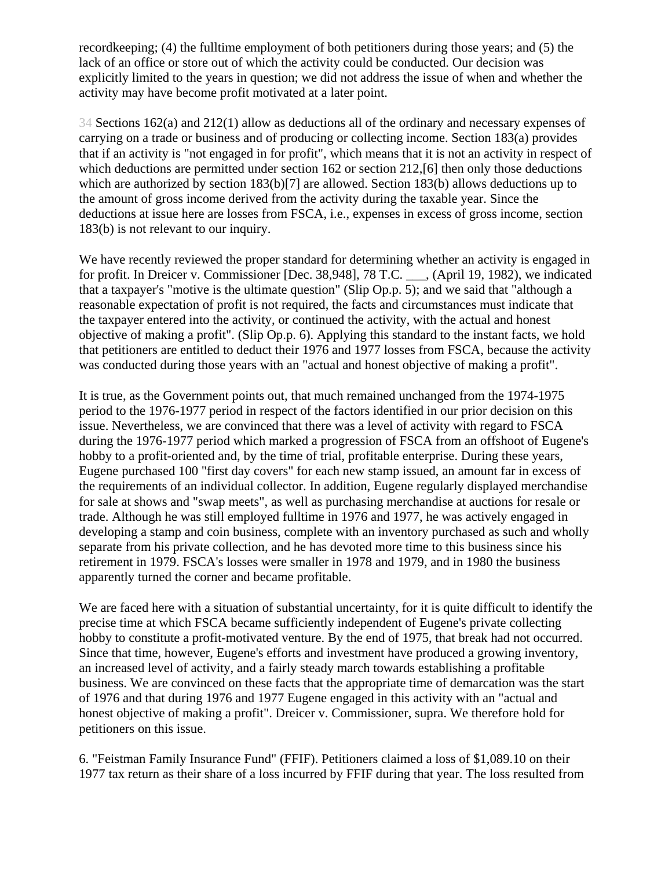recordkeeping; (4) the fulltime employment of both petitioners during those years; and (5) the lack of an office or store out of which the activity could be conducted. Our decision was explicitly limited to the years in question; we did not address the issue of when and whether the activity may have become profit motivated at a later point.

34 Sections 162(a) and 212(1) allow as deductions all of the ordinary and necessary expenses of carrying on a trade or business and of producing or collecting income. Section 183(a) provides that if an activity is "not engaged in for profit", which means that it is not an activity in respect of which deductions are permitted under section 162 or section 212, [6] then only those deductions which are authorized by section 183(b)[7] are allowed. Section 183(b) allows deductions up to the amount of gross income derived from the activity during the taxable year. Since the deductions at issue here are losses from FSCA, i.e., expenses in excess of gross income, section 183(b) is not relevant to our inquiry.

We have recently reviewed the proper standard for determining whether an activity is engaged in for profit. In Dreicer v. Commissioner [Dec. 38,948], 78 T.C. \_\_\_, (April 19, 1982), we indicated that a taxpayer's "motive is the ultimate question" (Slip Op.p. 5); and we said that "although a reasonable expectation of profit is not required, the facts and circumstances must indicate that the taxpayer entered into the activity, or continued the activity, with the actual and honest objective of making a profit". (Slip Op.p. 6). Applying this standard to the instant facts, we hold that petitioners are entitled to deduct their 1976 and 1977 losses from FSCA, because the activity was conducted during those years with an "actual and honest objective of making a profit".

It is true, as the Government points out, that much remained unchanged from the 1974-1975 period to the 1976-1977 period in respect of the factors identified in our prior decision on this issue. Nevertheless, we are convinced that there was a level of activity with regard to FSCA during the 1976-1977 period which marked a progression of FSCA from an offshoot of Eugene's hobby to a profit-oriented and, by the time of trial, profitable enterprise. During these years, Eugene purchased 100 "first day covers" for each new stamp issued, an amount far in excess of the requirements of an individual collector. In addition, Eugene regularly displayed merchandise for sale at shows and "swap meets", as well as purchasing merchandise at auctions for resale or trade. Although he was still employed fulltime in 1976 and 1977, he was actively engaged in developing a stamp and coin business, complete with an inventory purchased as such and wholly separate from his private collection, and he has devoted more time to this business since his retirement in 1979. FSCA's losses were smaller in 1978 and 1979, and in 1980 the business apparently turned the corner and became profitable.

We are faced here with a situation of substantial uncertainty, for it is quite difficult to identify the precise time at which FSCA became sufficiently independent of Eugene's private collecting hobby to constitute a profit-motivated venture. By the end of 1975, that break had not occurred. Since that time, however, Eugene's efforts and investment have produced a growing inventory, an increased level of activity, and a fairly steady march towards establishing a profitable business. We are convinced on these facts that the appropriate time of demarcation was the start of 1976 and that during 1976 and 1977 Eugene engaged in this activity with an "actual and honest objective of making a profit". Dreicer v. Commissioner, supra. We therefore hold for petitioners on this issue.

6. "Feistman Family Insurance Fund" (FFIF). Petitioners claimed a loss of \$1,089.10 on their 1977 tax return as their share of a loss incurred by FFIF during that year. The loss resulted from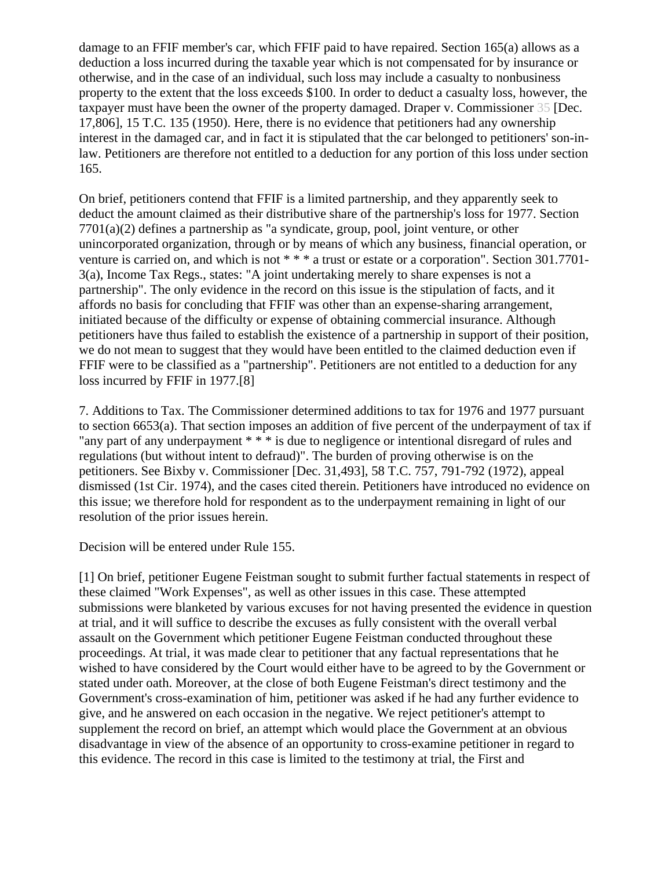damage to an FFIF member's car, which FFIF paid to have repaired. Section 165(a) allows as a deduction a loss incurred during the taxable year which is not compensated for by insurance or otherwise, and in the case of an individual, such loss may include a casualty to nonbusiness property to the extent that the loss exceeds \$100. In order to deduct a casualty loss, however, the taxpayer must have been the owner of the property damaged. Draper v. Commissioner 35 [Dec. 17,806], 15 T.C. 135 (1950). Here, there is no evidence that petitioners had any ownership interest in the damaged car, and in fact it is stipulated that the car belonged to petitioners' son-inlaw. Petitioners are therefore not entitled to a deduction for any portion of this loss under section 165.

On brief, petitioners contend that FFIF is a limited partnership, and they apparently seek to deduct the amount claimed as their distributive share of the partnership's loss for 1977. Section 7701(a)(2) defines a partnership as "a syndicate, group, pool, joint venture, or other unincorporated organization, through or by means of which any business, financial operation, or venture is carried on, and which is not \* \* \* a trust or estate or a corporation". Section 301.7701-3(a), Income Tax Regs., states: "A joint undertaking merely to share expenses is not a partnership". The only evidence in the record on this issue is the stipulation of facts, and it affords no basis for concluding that FFIF was other than an expense-sharing arrangement, initiated because of the difficulty or expense of obtaining commercial insurance. Although petitioners have thus failed to establish the existence of a partnership in support of their position, we do not mean to suggest that they would have been entitled to the claimed deduction even if FFIF were to be classified as a "partnership". Petitioners are not entitled to a deduction for any loss incurred by FFIF in 1977.[8]

7. Additions to Tax. The Commissioner determined additions to tax for 1976 and 1977 pursuant to section 6653(a). That section imposes an addition of five percent of the underpayment of tax if "any part of any underpayment \* \* \* is due to negligence or intentional disregard of rules and regulations (but without intent to defraud)". The burden of proving otherwise is on the petitioners. See Bixby v. Commissioner [Dec. 31,493], 58 T.C. 757, 791-792 (1972), appeal dismissed (1st Cir. 1974), and the cases cited therein. Petitioners have introduced no evidence on this issue; we therefore hold for respondent as to the underpayment remaining in light of our resolution of the prior issues herein.

Decision will be entered under Rule 155.

[1] On brief, petitioner Eugene Feistman sought to submit further factual statements in respect of these claimed "Work Expenses", as well as other issues in this case. These attempted submissions were blanketed by various excuses for not having presented the evidence in question at trial, and it will suffice to describe the excuses as fully consistent with the overall verbal assault on the Government which petitioner Eugene Feistman conducted throughout these proceedings. At trial, it was made clear to petitioner that any factual representations that he wished to have considered by the Court would either have to be agreed to by the Government or stated under oath. Moreover, at the close of both Eugene Feistman's direct testimony and the Government's cross-examination of him, petitioner was asked if he had any further evidence to give, and he answered on each occasion in the negative. We reject petitioner's attempt to supplement the record on brief, an attempt which would place the Government at an obvious disadvantage in view of the absence of an opportunity to cross-examine petitioner in regard to this evidence. The record in this case is limited to the testimony at trial, the First and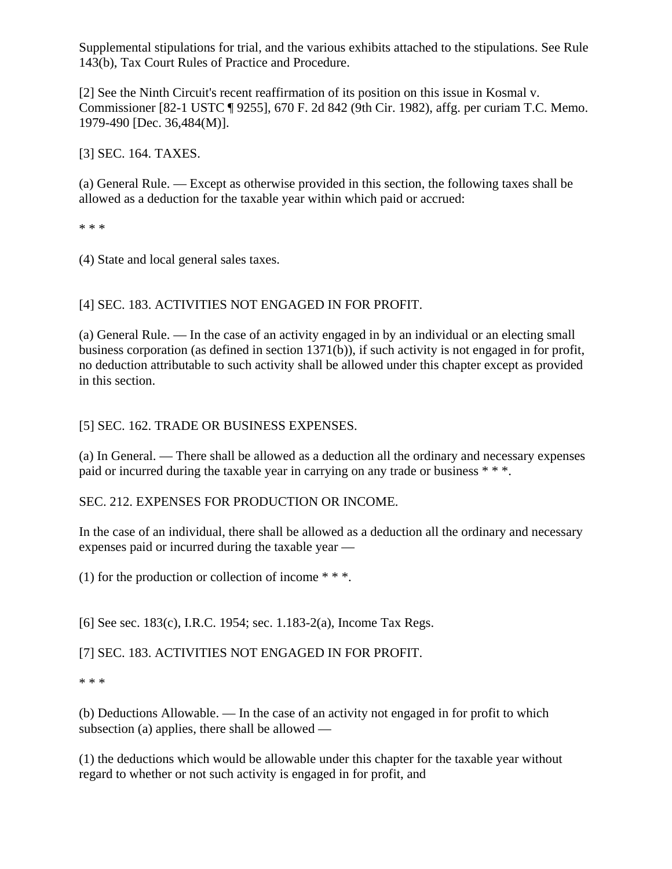Supplemental stipulations for trial, and the various exhibits attached to the stipulations. See Rule 143(b), Tax Court Rules of Practice and Procedure.

[2] See the Ninth Circuit's recent reaffirmation of its position on this issue in Kosmal v. Commissioner [82-1 USTC ¶ 9255], 670 F. 2d 842 (9th Cir. 1982), affg. per curiam T.C. Memo. 1979-490 [Dec. 36,484(M)].

[3] SEC. 164. TAXES.

(a) General Rule. — Except as otherwise provided in this section, the following taxes shall be allowed as a deduction for the taxable year within which paid or accrued:

\* \* \*

(4) State and local general sales taxes.

[4] SEC. 183. ACTIVITIES NOT ENGAGED IN FOR PROFIT.

(a) General Rule. — In the case of an activity engaged in by an individual or an electing small business corporation (as defined in section 1371(b)), if such activity is not engaged in for profit, no deduction attributable to such activity shall be allowed under this chapter except as provided in this section.

## [5] SEC. 162. TRADE OR BUSINESS EXPENSES.

(a) In General. — There shall be allowed as a deduction all the ordinary and necessary expenses paid or incurred during the taxable year in carrying on any trade or business \* \* \*.

SEC. 212. EXPENSES FOR PRODUCTION OR INCOME.

In the case of an individual, there shall be allowed as a deduction all the ordinary and necessary expenses paid or incurred during the taxable year —

(1) for the production or collection of income  $**$ .

[6] See sec. 183(c), I.R.C. 1954; sec. 1.183-2(a), Income Tax Regs.

[7] SEC. 183. ACTIVITIES NOT ENGAGED IN FOR PROFIT.

\* \* \*

(b) Deductions Allowable. — In the case of an activity not engaged in for profit to which subsection (a) applies, there shall be allowed —

(1) the deductions which would be allowable under this chapter for the taxable year without regard to whether or not such activity is engaged in for profit, and